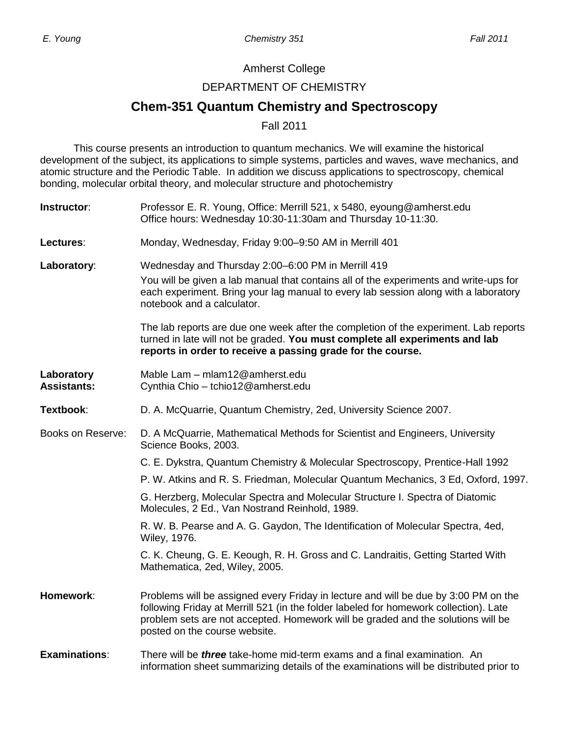#### Amherst College

#### DEPARTMENT OF CHEMISTRY

# **Chem-351 Quantum Chemistry and Spectroscopy**

Fall 2011

This course presents an introduction to quantum mechanics. We will examine the historical development of the subject, its applications to simple systems, particles and waves, wave mechanics, and atomic structure and the Periodic Table. In addition we discuss applications to spectroscopy, chemical bonding, molecular orbital theory, and molecular structure and photochemistry

| Instructor:                      | Professor E. R. Young, Office: Merrill 521, x 5480, eyoung@amherst.edu<br>Office hours: Wednesday 10:30-11:30am and Thursday 10-11:30.                                                                                                                                                            |  |  |  |
|----------------------------------|---------------------------------------------------------------------------------------------------------------------------------------------------------------------------------------------------------------------------------------------------------------------------------------------------|--|--|--|
| Lectures:                        | Monday, Wednesday, Friday 9:00-9:50 AM in Merrill 401                                                                                                                                                                                                                                             |  |  |  |
| Laboratory:                      | Wednesday and Thursday 2:00-6:00 PM in Merrill 419<br>You will be given a lab manual that contains all of the experiments and write-ups for<br>each experiment. Bring your lag manual to every lab session along with a laboratory<br>notebook and a calculator.                                  |  |  |  |
|                                  | The lab reports are due one week after the completion of the experiment. Lab reports<br>turned in late will not be graded. You must complete all experiments and lab<br>reports in order to receive a passing grade for the course.                                                               |  |  |  |
| Laboratory<br><b>Assistants:</b> | Mable Lam - mlam12@amherst.edu<br>Cynthia Chio - tchio12@amherst.edu                                                                                                                                                                                                                              |  |  |  |
| Textbook:                        | D. A. McQuarrie, Quantum Chemistry, 2ed, University Science 2007.                                                                                                                                                                                                                                 |  |  |  |
| Books on Reserve:                | D. A McQuarrie, Mathematical Methods for Scientist and Engineers, University<br>Science Books, 2003.                                                                                                                                                                                              |  |  |  |
|                                  | C. E. Dykstra, Quantum Chemistry & Molecular Spectroscopy, Prentice-Hall 1992                                                                                                                                                                                                                     |  |  |  |
|                                  | P. W. Atkins and R. S. Friedman, Molecular Quantum Mechanics, 3 Ed, Oxford, 1997.                                                                                                                                                                                                                 |  |  |  |
|                                  | G. Herzberg, Molecular Spectra and Molecular Structure I. Spectra of Diatomic<br>Molecules, 2 Ed., Van Nostrand Reinhold, 1989.                                                                                                                                                                   |  |  |  |
|                                  | R. W. B. Pearse and A. G. Gaydon, The Identification of Molecular Spectra, 4ed,<br>Wiley, 1976.                                                                                                                                                                                                   |  |  |  |
|                                  | C. K. Cheung, G. E. Keough, R. H. Gross and C. Landraitis, Getting Started With<br>Mathematica, 2ed, Wiley, 2005.                                                                                                                                                                                 |  |  |  |
| Homework:                        | Problems will be assigned every Friday in lecture and will be due by 3:00 PM on the<br>following Friday at Merrill 521 (in the folder labeled for homework collection). Late<br>problem sets are not accepted. Homework will be graded and the solutions will be<br>posted on the course website. |  |  |  |
| <b>Examinations:</b>             | There will be <i>three</i> take-home mid-term exams and a final examination. An<br>information sheet summarizing details of the examinations will be distributed prior to                                                                                                                         |  |  |  |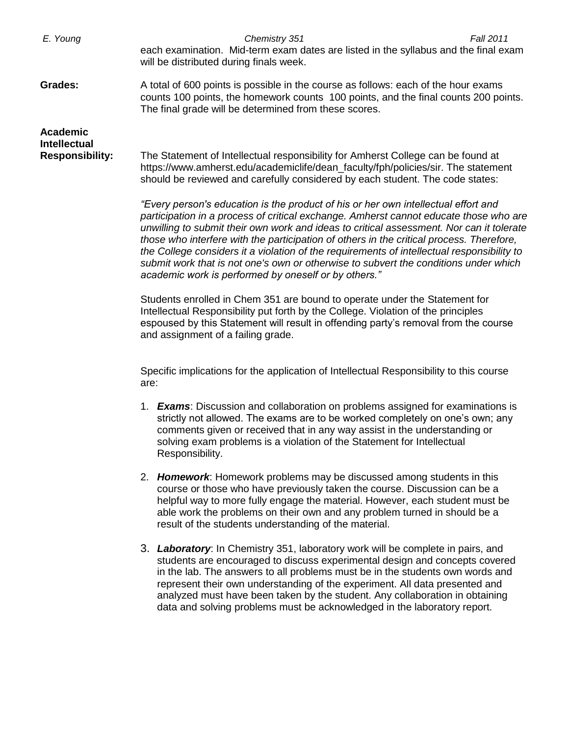| E. Young                                                  | Chemistry 351<br>Fall 2011<br>each examination. Mid-term exam dates are listed in the syllabus and the final exam<br>will be distributed during finals week.                                                                                                                                                                                                                                                                                                                                                                                                                                                                                                                                                                |  |  |  |  |
|-----------------------------------------------------------|-----------------------------------------------------------------------------------------------------------------------------------------------------------------------------------------------------------------------------------------------------------------------------------------------------------------------------------------------------------------------------------------------------------------------------------------------------------------------------------------------------------------------------------------------------------------------------------------------------------------------------------------------------------------------------------------------------------------------------|--|--|--|--|
| <b>Grades:</b>                                            | A total of 600 points is possible in the course as follows: each of the hour exams<br>counts 100 points, the homework counts 100 points, and the final counts 200 points.<br>The final grade will be determined from these scores.                                                                                                                                                                                                                                                                                                                                                                                                                                                                                          |  |  |  |  |
| Academic<br><b>Intellectual</b><br><b>Responsibility:</b> | The Statement of Intellectual responsibility for Amherst College can be found at<br>https://www.amherst.edu/academiclife/dean_faculty/fph/policies/sir. The statement<br>should be reviewed and carefully considered by each student. The code states:<br>"Every person's education is the product of his or her own intellectual effort and<br>participation in a process of critical exchange. Amherst cannot educate those who are<br>unwilling to submit their own work and ideas to critical assessment. Nor can it tolerate<br>those who interfere with the participation of others in the critical process. Therefore,<br>the College considers it a violation of the requirements of intellectual responsibility to |  |  |  |  |
|                                                           | submit work that is not one's own or otherwise to subvert the conditions under which<br>academic work is performed by oneself or by others."<br>Students enrolled in Chem 351 are bound to operate under the Statement for<br>Intellectual Responsibility put forth by the College. Violation of the principles<br>espoused by this Statement will result in offending party's removal from the course<br>and assignment of a failing grade.                                                                                                                                                                                                                                                                                |  |  |  |  |
|                                                           | Specific implications for the application of Intellectual Responsibility to this course<br>are:                                                                                                                                                                                                                                                                                                                                                                                                                                                                                                                                                                                                                             |  |  |  |  |
|                                                           | 1. <b>Exams:</b> Discussion and collaboration on problems assigned for examinations is<br>strictly not allowed. The exams are to be worked completely on one's own; any<br>comments given or received that in any way assist in the understanding or<br>solving exam problems is a violation of the Statement for Intellectual<br>Responsibility.                                                                                                                                                                                                                                                                                                                                                                           |  |  |  |  |
|                                                           | 2. Homework: Homework problems may be discussed among students in this<br>course or those who have previously taken the course. Discussion can be a<br>helpful way to more fully engage the material. However, each student must be<br>able work the problems on their own and any problem turned in should be a<br>result of the students understanding of the material.                                                                                                                                                                                                                                                                                                                                                   |  |  |  |  |
|                                                           | 3. Laboratory: In Chemistry 351, laboratory work will be complete in pairs, and<br>students are encouraged to discuss experimental design and concepts covered<br>in the lab. The answers to all problems must be in the students own words and<br>represent their own understanding of the experiment. All data presented and<br>analyzed must have been taken by the student. Any collaboration in obtaining<br>data and solving problems must be acknowledged in the laboratory report.                                                                                                                                                                                                                                  |  |  |  |  |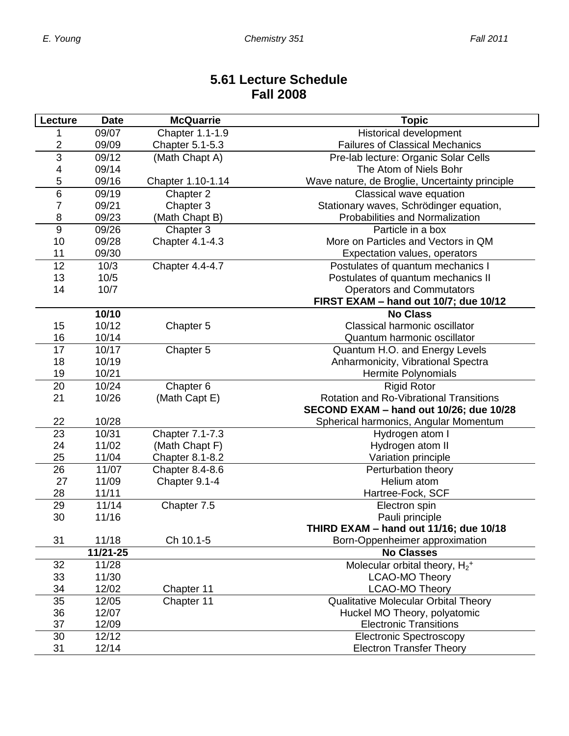### **5.61 Lecture Schedule Fall 2008**

| Lecture        | <b>Date</b>    | <b>McQuarrie</b>       | <b>Topic</b>                                              |  |  |  |
|----------------|----------------|------------------------|-----------------------------------------------------------|--|--|--|
|                | 09/07          | Chapter 1.1-1.9        | Historical development                                    |  |  |  |
| 2              | 09/09          | Chapter 5.1-5.3        | <b>Failures of Classical Mechanics</b>                    |  |  |  |
| $\overline{3}$ | 09/12          | (Math Chapt A)         | Pre-lab lecture: Organic Solar Cells                      |  |  |  |
| 4              | 09/14          |                        | The Atom of Niels Bohr                                    |  |  |  |
| 5              | 09/16          | Chapter 1.10-1.14      | Wave nature, de Broglie, Uncertainty principle            |  |  |  |
| $\overline{6}$ | 09/19          | Chapter 2              | Classical wave equation                                   |  |  |  |
| 7              | 09/21          | Chapter 3              | Stationary waves, Schrödinger equation,                   |  |  |  |
| 8              | 09/23          | (Math Chapt B)         | Probabilities and Normalization                           |  |  |  |
| 9              | 09/26          | Chapter 3              | Particle in a box                                         |  |  |  |
| 10             | 09/28          | Chapter 4.1-4.3        | More on Particles and Vectors in QM                       |  |  |  |
| 11             | 09/30          |                        | Expectation values, operators                             |  |  |  |
| 12             | 10/3           | Chapter 4.4-4.7        | Postulates of quantum mechanics I                         |  |  |  |
| 13             | 10/5           |                        | Postulates of quantum mechanics II                        |  |  |  |
| 14             | 10/7           |                        | <b>Operators and Commutators</b>                          |  |  |  |
|                |                |                        | FIRST EXAM - hand out 10/7; due 10/12                     |  |  |  |
|                | 10/10          |                        | <b>No Class</b>                                           |  |  |  |
| 15             | 10/12          | Chapter 5              | Classical harmonic oscillator                             |  |  |  |
| 16             | 10/14          |                        | Quantum harmonic oscillator                               |  |  |  |
| 17             | 10/17          | Chapter 5              | Quantum H.O. and Energy Levels                            |  |  |  |
| 18             | 10/19          |                        | Anharmonicity, Vibrational Spectra                        |  |  |  |
| 19             | 10/21          |                        | Hermite Polynomials                                       |  |  |  |
| 20             | 10/24          | Chapter 6              | <b>Rigid Rotor</b>                                        |  |  |  |
| 21             | 10/26          | (Math Capt E)          | <b>Rotation and Ro-Vibrational Transitions</b>            |  |  |  |
|                |                |                        | SECOND EXAM - hand out 10/26; due 10/28                   |  |  |  |
| 22             | 10/28          |                        | Spherical harmonics, Angular Momentum                     |  |  |  |
| 23             | 10/31          | Chapter 7.1-7.3        | Hydrogen atom I                                           |  |  |  |
| 24             | 11/02          | (Math Chapt F)         | Hydrogen atom II                                          |  |  |  |
| 25             | 11/04          | <b>Chapter 8.1-8.2</b> | Variation principle                                       |  |  |  |
| 26             | 11/07          | Chapter 8.4-8.6        | Perturbation theory                                       |  |  |  |
| 27             | 11/09          | Chapter 9.1-4          | Helium atom                                               |  |  |  |
| 28             | 11/11<br>11/14 |                        | Hartree-Fock, SCF                                         |  |  |  |
| 29<br>30       | 11/16          | Chapter 7.5            | Electron spin                                             |  |  |  |
|                |                |                        | Pauli principle<br>THIRD EXAM - hand out 11/16; due 10/18 |  |  |  |
| 31             | 11/18          | Ch 10.1-5              | Born-Oppenheimer approximation                            |  |  |  |
|                | 11/21-25       |                        | <b>No Classes</b>                                         |  |  |  |
| 32             | 11/28          |                        | Molecular orbital theory, $H_2$ <sup>+</sup>              |  |  |  |
| 33             | 11/30          |                        | <b>LCAO-MO Theory</b>                                     |  |  |  |
| 34             | 12/02          | Chapter 11             | <b>LCAO-MO Theory</b>                                     |  |  |  |
| 35             | 12/05          | Chapter 11             | <b>Qualitative Molecular Orbital Theory</b>               |  |  |  |
| 36             | 12/07          |                        | Huckel MO Theory, polyatomic                              |  |  |  |
| 37             | 12/09          |                        | <b>Electronic Transitions</b>                             |  |  |  |
| 30             | 12/12          |                        | <b>Electronic Spectroscopy</b>                            |  |  |  |
| 31             | 12/14          |                        | <b>Electron Transfer Theory</b>                           |  |  |  |